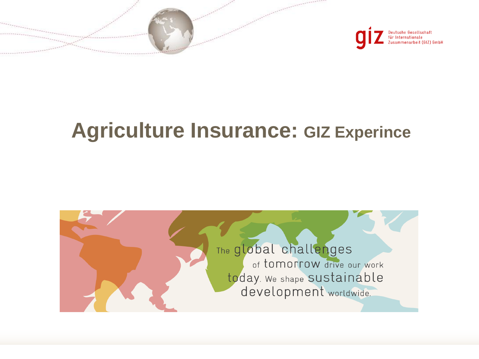



# **Agriculture Insurance: GIZ Experince**

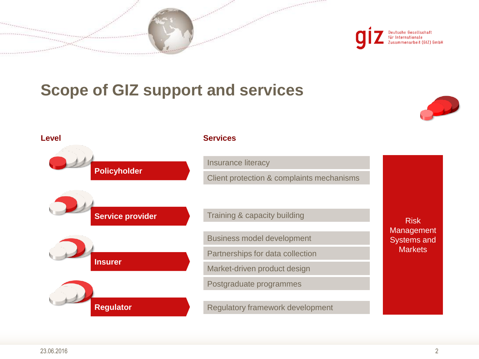



## **Scope of GIZ support and services**



**Policyholder Service provider Insurer Regulator Level Services** Training & capacity building Regulatory framework development Insurance literacy Client protection & complaints mechanisms Business model development Partnerships for data collection Market-driven product design Postgraduate programmes Risk Management Systems and **Markets**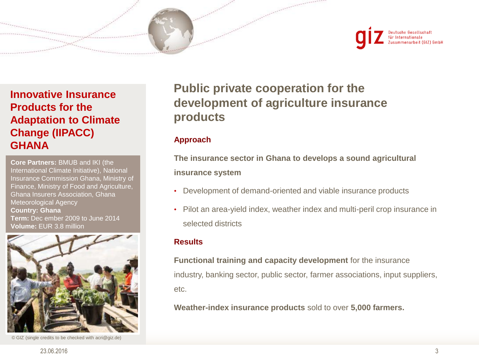



## **Innovative Insurance Products for the Adaptation to Climate Change (IIPACC) GHANA**

**Core Partners:** BMUB and IKI (the International Climate Initiative), National Insurance Commission Ghana, Ministry of Finance, Ministry of Food and Agriculture, Ghana Insurers Association, Ghana Meteorological Agency **Country: Ghana Term:** Dec ember 2009 to June 2014 **Volume:** EUR 3.8 million



© GIZ (single credits to be checked with acri@giz.de)

## **Public private cooperation for the development of agriculture insurance products**

#### **Approach**

**The insurance sector in Ghana to develops a sound agricultural insurance system**

- Development of demand-oriented and viable insurance products
- Pilot an area-yield index, weather index and multi-peril crop insurance in selected districts

#### **Results**

**Functional training and capacity development** for the insurance industry, banking sector, public sector, farmer associations, input suppliers, etc.

**Weather-index insurance products** sold to over **5,000 farmers.**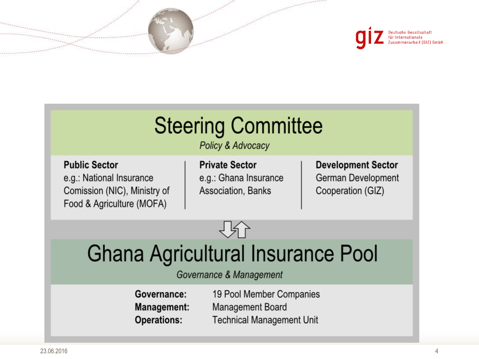



# **Steering Committee**

Policy & Advocacy

**Public Sector** e.g.: National Insurance Comission (NIC), Ministry of Food & Agriculture (MOFA)

**Private Sector** e.g.: Ghana Insurance Association, Banks

**Development Sector** German Development Cooperation (GIZ)



# **Ghana Agricultural Insurance Pool**

### Governance & Management

| Governance:        | 19 Pool Member Companies         |
|--------------------|----------------------------------|
| <b>Management:</b> | Management Board                 |
| <b>Operations:</b> | <b>Technical Management Unit</b> |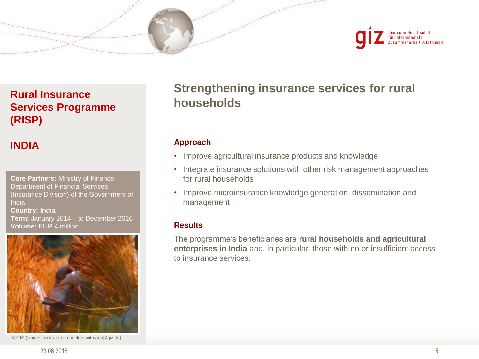



## **Rural Insurance Services Programme (RISP)**

## **INDIA**

**Core Partners:** Ministry of Finance, Department of Financial Services, (Insurance Division) of the Government of India **Country: India Term:** January 2014 – to December 2016 **Volume:** EUR 4 million



© GIZ (single credits to be checked with acri@giz.de)

## **Strengthening insurance services for rural households**

#### **Approach**

- Improve agricultural insurance products and knowledge
- Integrate insurance solutions with other risk management approaches for rural households
- Improve microinsurance knowledge generation, dissemination and management

#### **Results**

The programme's beneficiaries are **rural households and agricultural enterprises in India** and, in particular, those with no or insufficient access to insurance services.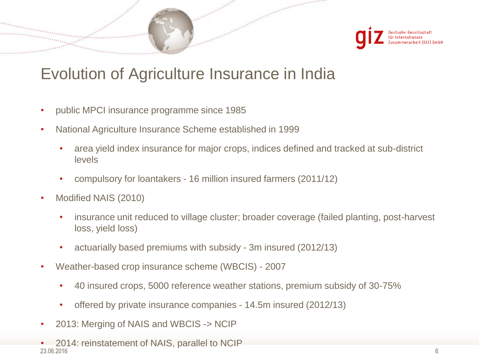

## Evolution of Agriculture Insurance in India

- public MPCI insurance programme since 1985
- National Agriculture Insurance Scheme established in 1999
	- area yield index insurance for major crops, indices defined and tracked at sub-district levels
	- compulsory for loantakers 16 million insured farmers (2011/12)
- Modified NAIS (2010)
	- insurance unit reduced to village cluster; broader coverage (failed planting, post-harvest loss, yield loss)
	- actuarially based premiums with subsidy 3m insured (2012/13)
- Weather-based crop insurance scheme (WBCIS) 2007
	- 40 insured crops, 5000 reference weather stations, premium subsidy of 30-75%
	- offered by private insurance companies 14.5m insured (2012/13)
- 2013: Merging of NAIS and WBCIS -> NCIP
- 23.06.2016 • 2014: reinstatement of NAIS, parallel to NCIP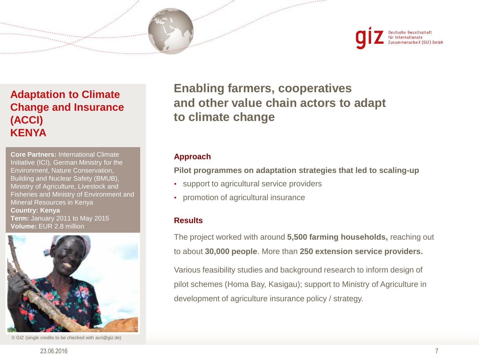



### **Adaptation to Climate Change and Insurance (ACCI) KENYA**

**Core Partners:** International Climate Initiative (ICI), German Ministry for the Environment, Nature Conservation, Building and Nuclear Safety (BMUB), Ministry of Agriculture, Livestock and Fisheries and Ministry of Environment and Mineral Resources in Kenya **Country: Kenya Term:** January 2011 to May 2015 **Volume:** EUR 2.8 million



© GIZ (single credits to be checked with acri@giz.de)

**Enabling farmers, cooperatives and other value chain actors to adapt to climate change**

#### **Approach**

**Pilot programmes on adaptation strategies that led to scaling-up**

- support to agricultural service providers
- promotion of agricultural insurance

#### **Results**

The project worked with around **5,500 farming households,** reaching out to about **30,000 people**. More than **250 extension service providers.**

Various feasibility studies and background research to inform design of pilot schemes (Homa Bay, Kasigau); support to Ministry of Agriculture in development of agriculture insurance policy / strategy.